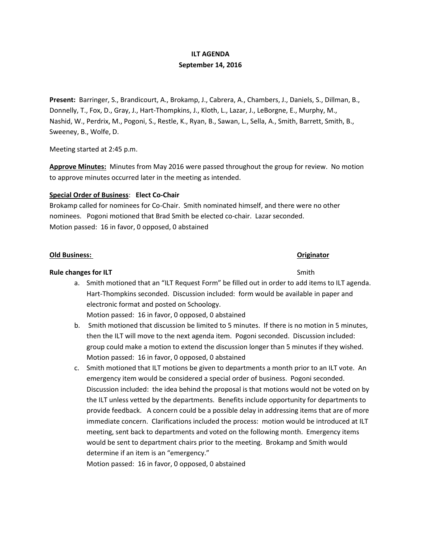# **ILT AGENDA September 14, 2016**

**Present:** Barringer, S., Brandicourt, A., Brokamp, J., Cabrera, A., Chambers, J., Daniels, S., Dillman, B., Donnelly, T., Fox, D., Gray, J., Hart-Thompkins, J., Kloth, L., Lazar, J., LeBorgne, E., Murphy, M., Nashid, W., Perdrix, M., Pogoni, S., Restle, K., Ryan, B., Sawan, L., Sella, A., Smith, Barrett, Smith, B., Sweeney, B., Wolfe, D.

Meeting started at 2:45 p.m.

**Approve Minutes:** Minutes from May 2016 were passed throughout the group for review. No motion to approve minutes occurred later in the meeting as intended.

# **Special Order of Business**: **Elect Co-Chair**

Brokamp called for nominees for Co-Chair. Smith nominated himself, and there were no other nominees. Pogoni motioned that Brad Smith be elected co-chair. Lazar seconded. Motion passed: 16 in favor, 0 opposed, 0 abstained

### **Old Business: Originator**

## **Rule changes for ILT** Smith

a. Smith motioned that an "ILT Request Form" be filled out in order to add items to ILT agenda. Hart-Thompkins seconded. Discussion included: form would be available in paper and electronic format and posted on Schoology.

Motion passed: 16 in favor, 0 opposed, 0 abstained

- b. Smith motioned that discussion be limited to 5 minutes. If there is no motion in 5 minutes, then the ILT will move to the next agenda item. Pogoni seconded. Discussion included: group could make a motion to extend the discussion longer than 5 minutes if they wished. Motion passed: 16 in favor, 0 opposed, 0 abstained
- c. Smith motioned that ILT motions be given to departments a month prior to an ILT vote. An emergency item would be considered a special order of business. Pogoni seconded. Discussion included: the idea behind the proposal is that motions would not be voted on by the ILT unless vetted by the departments. Benefits include opportunity for departments to provide feedback. A concern could be a possible delay in addressing items that are of more immediate concern. Clarifications included the process: motion would be introduced at ILT meeting, sent back to departments and voted on the following month. Emergency items would be sent to department chairs prior to the meeting. Brokamp and Smith would determine if an item is an "emergency."

Motion passed: 16 in favor, 0 opposed, 0 abstained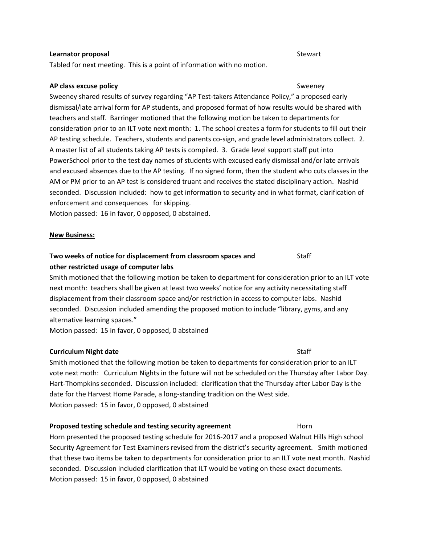### **Learnator proposal Stewart Stewart Stewart Stewart Stewart Stewart Stewart Stewart Stewart Stewart Stewart Stewart Stewart Stewart Stewart Stewart Stewart Stewart Stewart Stewart Stewart Stewart Stewart Stewart Stewart St**

Tabled for next meeting. This is a point of information with no motion.

### **AP class excuse policy Sweeney** Sweeney

Sweeney shared results of survey regarding "AP Test-takers Attendance Policy," a proposed early dismissal/late arrival form for AP students, and proposed format of how results would be shared with teachers and staff. Barringer motioned that the following motion be taken to departments for consideration prior to an ILT vote next month: 1. The school creates a form for students to fill out their AP testing schedule. Teachers, students and parents co-sign, and grade level administrators collect. 2. A master list of all students taking AP tests is compiled. 3. Grade level support staff put into PowerSchool prior to the test day names of students with excused early dismissal and/or late arrivals and excused absences due to the AP testing. If no signed form, then the student who cuts classes in the AM or PM prior to an AP test is considered truant and receives the stated disciplinary action. Nashid seconded. Discussion included: how to get information to security and in what format, clarification of enforcement and consequences for skipping.

Motion passed: 16 in favor, 0 opposed, 0 abstained.

### **New Business:**

# **Two weeks of notice for displacement from classroom spaces and Staff Staff Constants In the Staff Constants In the Staff Constants In the Staff Constants In the Staff Constants In the Staff Constants In the Staff Constant other restricted usage of computer labs**

Smith motioned that the following motion be taken to department for consideration prior to an ILT vote next month: teachers shall be given at least two weeks' notice for any activity necessitating staff displacement from their classroom space and/or restriction in access to computer labs. Nashid seconded. Discussion included amending the proposed motion to include "library, gyms, and any alternative learning spaces."

Motion passed: 15 in favor, 0 opposed, 0 abstained

# **Curriculum Night date** Staff

Smith motioned that the following motion be taken to departments for consideration prior to an ILT vote next moth: Curriculum Nights in the future will not be scheduled on the Thursday after Labor Day. Hart-Thompkins seconded. Discussion included: clarification that the Thursday after Labor Day is the date for the Harvest Home Parade, a long-standing tradition on the West side. Motion passed: 15 in favor, 0 opposed, 0 abstained

# **Proposed testing schedule and testing security agreement** Horn

Horn presented the proposed testing schedule for 2016-2017 and a proposed Walnut Hills High school Security Agreement for Test Examiners revised from the district's security agreement. Smith motioned that these two items be taken to departments for consideration prior to an ILT vote next month. Nashid seconded. Discussion included clarification that ILT would be voting on these exact documents. Motion passed: 15 in favor, 0 opposed, 0 abstained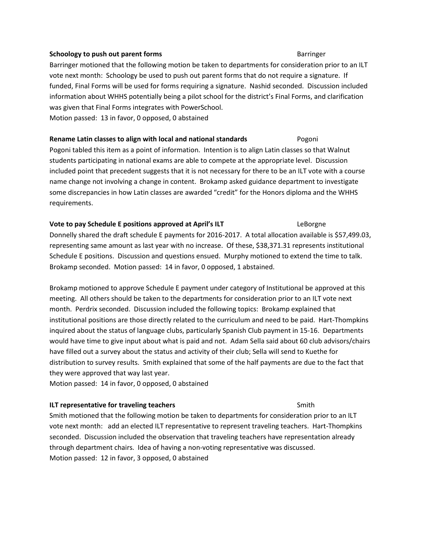### **Schoology to push out parent forms** Barringer **Barringer** Barringer

Barringer motioned that the following motion be taken to departments for consideration prior to an ILT vote next month: Schoology be used to push out parent forms that do not require a signature. If funded, Final Forms will be used for forms requiring a signature. Nashid seconded. Discussion included information about WHHS potentially being a pilot school for the district's Final Forms, and clarification was given that Final Forms integrates with PowerSchool. Motion passed: 13 in favor, 0 opposed, 0 abstained

# **Rename Latin classes to align with local and national standards** Pogoni

Pogoni tabled this item as a point of information. Intention is to align Latin classes so that Walnut students participating in national exams are able to compete at the appropriate level. Discussion included point that precedent suggests that it is not necessary for there to be an ILT vote with a course name change not involving a change in content. Brokamp asked guidance department to investigate some discrepancies in how Latin classes are awarded "credit" for the Honors diploma and the WHHS requirements.

### **Vote to pay Schedule E positions approved at April's ILT** Example 2011 LeBorgne

Donnelly shared the draft schedule E payments for 2016-2017. A total allocation available is \$57,499.03, representing same amount as last year with no increase. Of these, \$38,371.31 represents institutional Schedule E positions. Discussion and questions ensued. Murphy motioned to extend the time to talk. Brokamp seconded. Motion passed: 14 in favor, 0 opposed, 1 abstained.

Brokamp motioned to approve Schedule E payment under category of Institutional be approved at this meeting. All others should be taken to the departments for consideration prior to an ILT vote next month. Perdrix seconded. Discussion included the following topics: Brokamp explained that institutional positions are those directly related to the curriculum and need to be paid. Hart-Thompkins inquired about the status of language clubs, particularly Spanish Club payment in 15-16. Departments would have time to give input about what is paid and not. Adam Sella said about 60 club advisors/chairs have filled out a survey about the status and activity of their club; Sella will send to Kuethe for distribution to survey results. Smith explained that some of the half payments are due to the fact that they were approved that way last year.

Motion passed: 14 in favor, 0 opposed, 0 abstained

# **ILT representative for traveling teachers** Smith

Smith motioned that the following motion be taken to departments for consideration prior to an ILT vote next month: add an elected ILT representative to represent traveling teachers. Hart-Thompkins seconded. Discussion included the observation that traveling teachers have representation already through department chairs. Idea of having a non-voting representative was discussed. Motion passed: 12 in favor, 3 opposed, 0 abstained